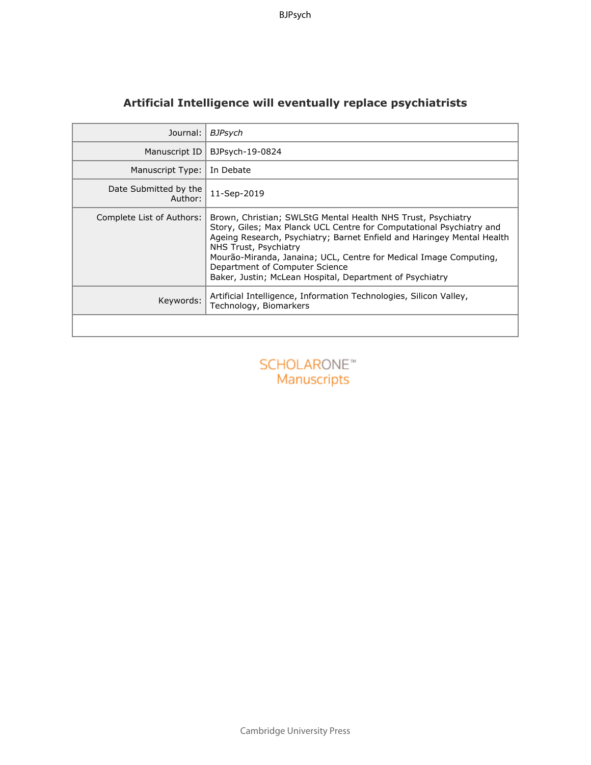| Journal:                                 | <b>BJPsych</b>                                                                                                                                                                                                                                                                                                                                                                                             |
|------------------------------------------|------------------------------------------------------------------------------------------------------------------------------------------------------------------------------------------------------------------------------------------------------------------------------------------------------------------------------------------------------------------------------------------------------------|
| Manuscript ID                            | BJPsych-19-0824                                                                                                                                                                                                                                                                                                                                                                                            |
| Manuscript Type:                         | In Debate                                                                                                                                                                                                                                                                                                                                                                                                  |
| Date Submitted by the<br>Author:         | 11-Sep-2019                                                                                                                                                                                                                                                                                                                                                                                                |
| Complete List of Authors:                | Brown, Christian; SWLStG Mental Health NHS Trust, Psychiatry<br>Story, Giles; Max Planck UCL Centre for Computational Psychiatry and<br>Ageing Research, Psychiatry; Barnet Enfield and Haringey Mental Health<br>NHS Trust, Psychiatry<br>Mourão-Miranda, Janaina; UCL, Centre for Medical Image Computing,<br>Department of Computer Science<br>Baker, Justin; McLean Hospital, Department of Psychiatry |
| Keywords:                                | Artificial Intelligence, Information Technologies, Silicon Valley,<br>Technology, Biomarkers                                                                                                                                                                                                                                                                                                               |
|                                          |                                                                                                                                                                                                                                                                                                                                                                                                            |
| <b>SCHOLARONE™</b><br><b>Manuscripts</b> |                                                                                                                                                                                                                                                                                                                                                                                                            |
|                                          |                                                                                                                                                                                                                                                                                                                                                                                                            |
|                                          |                                                                                                                                                                                                                                                                                                                                                                                                            |
|                                          |                                                                                                                                                                                                                                                                                                                                                                                                            |

# **Artificial Intelligence will eventually replace psychiatrists**

Cambridge University Press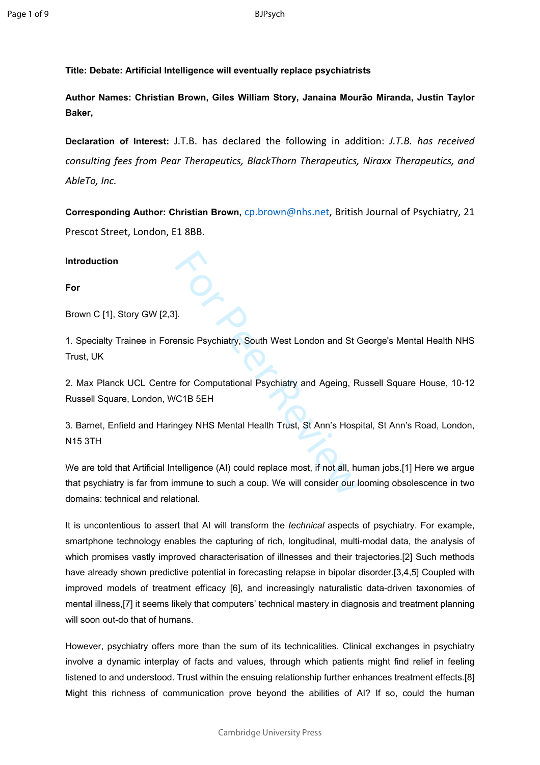**Title: Debate: Artificial Intelligence will eventually replace psychiatrists**

**Author Names: Christian Brown, Giles William Story, Janaina Mourão Miranda, Justin Taylor Baker,** 

**Declaration of Interest:** J.T.B. has declared the following in addition: *J.T.B. has received consulting fees from Pear Therapeutics, BlackThorn Therapeutics, Niraxx Therapeutics, and AbleTo, Inc.*

**Corresponding Author: Christian Brown,** [cp.brown@nhs.net,](mailto:cp.brown@nhs.net) British Journal of Psychiatry, 21 Prescot Street, London, E1 8BB.

**Introduction**

**For**

Brown C [1], Story GW [2,3].

1. Specialty Trainee in Forensic Psychiatry, South West London and St George's Mental Health NHS Trust, UK

2. Max Planck UCL Centre for Computational Psychiatry and Ageing, Russell Square House, 10-12 Russell Square, London, WC1B 5EH

3. Barnet, Enfield and Haringey NHS Mental Health Trust, St Ann's Hospital, St Ann's Road, London, N15 3TH

1.<br>
I.<br>
I. ensic Psychiatry, South West London and St (<br>
For Computational Psychiatry and Ageing, R<br>
C1B 5EH<br>
ngey NHS Mental Health Trust, St Ann's Hosp<br>
telligence (AI) could replace most, if not all, hu<br>
mmune to such a We are told that Artificial Intelligence (AI) could replace most, if not all, human jobs.[1] Here we argue that psychiatry is far from immune to such a coup. We will consider our looming obsolescence in two domains: technical and relational.

It is uncontentious to assert that AI will transform the *technical* aspects of psychiatry. For example, smartphone technology enables the capturing of rich, longitudinal, multi-modal data, the analysis of which promises vastly improved characterisation of illnesses and their trajectories.[2] Such methods have already shown predictive potential in forecasting relapse in bipolar disorder.[3,4,5] Coupled with improved models of treatment efficacy [6], and increasingly naturalistic data-driven taxonomies of mental illness,[7] it seems likely that computers' technical mastery in diagnosis and treatment planning will soon out-do that of humans.

However, psychiatry offers more than the sum of its technicalities. Clinical exchanges in psychiatry involve a dynamic interplay of facts and values, through which patients might find relief in feeling listened to and understood. Trust within the ensuing relationship further enhances treatment effects.[8] Might this richness of communication prove beyond the abilities of AI? If so, could the human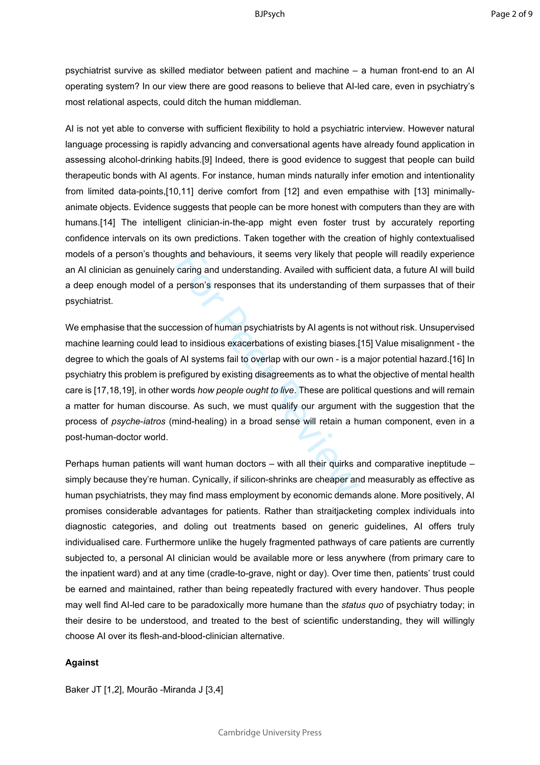psychiatrist survive as skilled mediator between patient and machine – a human front-end to an AI operating system? In our view there are good reasons to believe that AI-led care, even in psychiatry's most relational aspects, could ditch the human middleman.

AI is not yet able to converse with sufficient flexibility to hold a psychiatric interview. However natural language processing is rapidly advancing and conversational agents have already found application in assessing alcohol-drinking habits.[9] Indeed, there is good evidence to suggest that people can build therapeutic bonds with AI agents. For instance, human minds naturally infer emotion and intentionality from limited data-points,[10,11] derive comfort from [12] and even empathise with [13] minimallyanimate objects. Evidence suggests that people can be more honest with computers than they are with humans.[14] The intelligent clinician-in-the-app might even foster trust by accurately reporting confidence intervals on its own predictions. Taken together with the creation of highly contextualised models of a person's thoughts and behaviours, it seems very likely that people will readily experience an AI clinician as genuinely caring and understanding. Availed with sufficient data, a future AI will build a deep enough model of a person's responses that its understanding of them surpasses that of their psychiatrist.

hts and behaviours, it seems very likely that p<br>caring and understanding. Availed with sufficial<br>person's responses that its understanding of<br>session of human psychiatrists by AI agents is n<br>d to insidious exacerbations of We emphasise that the succession of human psychiatrists by AI agents is not without risk. Unsupervised machine learning could lead to insidious exacerbations of existing biases.[15] Value misalignment - the degree to which the goals of AI systems fail to overlap with our own - is a major potential hazard.[16] In psychiatry this problem is prefigured by existing disagreements as to what the objective of mental health care is [17,18,19], in other words *how people ought to live*. These are political questions and will remain a matter for human discourse. As such, we must qualify our argument with the suggestion that the process of *psyche* -*iatros* (mind-healing) in a broad sense will retain a human component, even in a post-human-doctor world.

Perhaps human patients will want human doctors – with all their quirks and comparative ineptitude – simply because they're human. Cynically, if silicon-shrinks are cheaper and measurably as effective as human psychiatrists, they may find mass employment by economic demands alone. More positively, AI promises considerable advantages for patients. Rather than straitjacketing complex individuals into diagnostic categories, and doling out treatments based on generic guidelines, AI offers truly individualised care. Furthermore unlike the hugely fragmented pathways of care patients are currently subjected to, a personal AI clinician would be available more or less anywhere (from primary care to the inpatient ward) and at any time (cradle-to-grave, night or day). Over time then, patients' trust could be earned and maintained, rather than being repeatedly fractured with every handover. Thus people may well find AI-led care to be paradoxically more humane than the *status quo* of psychiatry today; in their desire to be understood, and treated to the best of scientific understanding, they will willingly choose AI over its flesh-and-blood-clinician alternative.

## **Against**

Baker JT [1,2], Mourão -Miranda J [3,4]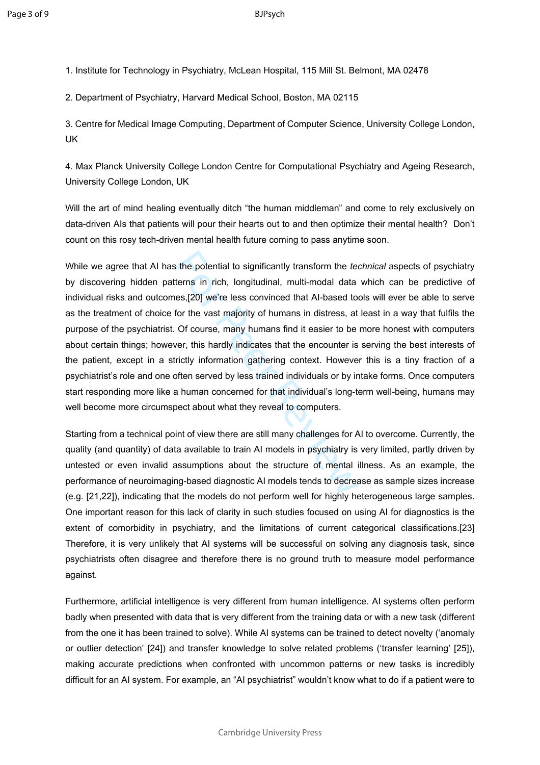1. Institute for Technology in Psychiatry, McLean Hospital, 115 Mill St. Belmont, MA 02478

2. Department of Psychiatry, Harvard Medical School, Boston, MA 02115

3. Centre for Medical Image Computing, Department of Computer Science, University College London, UK

4. Max Planck University College London Centre for Computational Psychiatry and Ageing Research, University College London, UK

Will the art of mind healing eventually ditch "the human middleman" and come to rely exclusively on data-driven AIs that patients will pour their hearts out to and then optimize their mental health? Don't count on this rosy tech-driven mental health future coming to pass anytime soon.

is the potential to significantly transform the tecterns in rich, longitudinal, multi-modal data<br>es,[20] we're less convinced that Al-based too<br>for the vast majority of humans in distress, at<br>Of course, many humans find it While we agree that AI has the potential to significantly transform the *technical* aspects of psychiatry by discovering hidden patterns in rich, longitudinal, multi-modal data which can be predictive of individual risks and outcomes,[20] we're less convinced that AI-based tools will ever be able to serve as the treatment of choice for the vast majority of humans in distress, at least in a way that fulfils the purpose of the psychiatrist. Of course, many humans find it easier to be more honest with computers about certain things; however, this hardly indicates that the encounter is serving the best interests of the patient, except in a strictly information gathering context. However this is a tiny fraction of a psychiatrist's role and one often served by less trained individuals or by intake forms. Once computers start responding more like a human concerned for that individual's long-term well-being, humans may well become more circumspect about what they reveal to computers.

Starting from a technical point of view there are still many challenges for AI to overcome. Currently, the quality (and quantity) of data available to train AI models in psychiatry is very limited, partly driven by untested or even invalid assumptions about the structure of mental illness. As an example, the performance of neuroimaging-based diagnostic AI models tends to decrease as sample sizes increase (e.g. [21,22]), indicating that the models do not perform well for highly heterogeneous large samples. One important reason for this lack of clarity in such studies focused on using AI for diagnostics is the extent of comorbidity in psychiatry, and the limitations of current categorical classifications.[23] Therefore, it is very unlikely that AI systems will be successful on solving any diagnosis task, since psychiatrists often disagree and therefore there is no ground truth to measure model performance against.

Furthermore, artificial intelligence is very different from human intelligence. AI systems often perform badly when presented with data that is very different from the training data or with a new task (different from the one it has been trained to solve). While AI systems can be trained to detect novelty ('anomaly or outlier detection' [24]) and transfer knowledge to solve related problems ('transfer learning' [25]), making accurate predictions when confronted with uncommon patterns or new tasks is incredibly difficult for an AI system. For example, an "AI psychiatrist" wouldn't know what to do if a patient were to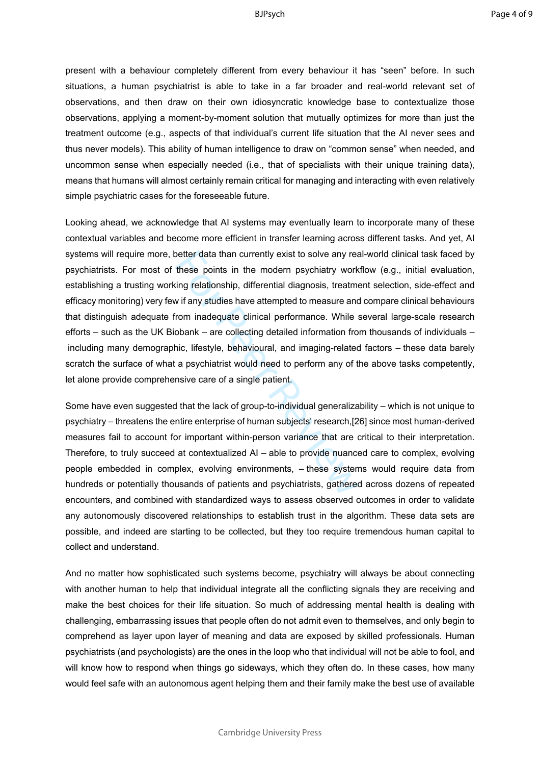present with a behaviour completely different from every behaviour it has "seen" before. In such situations, a human psychiatrist is able to take in a far broader and real-world relevant set of observations, and then draw on their own idiosyncratic knowledge base to contextualize those observations, applying a moment-by-moment solution that mutually optimizes for more than just the treatment outcome (e.g., aspects of that individual's current life situation that the AI never sees and thus never models). This ability of human intelligence to draw on "common sense" when needed, and uncommon sense when especially needed (i.e., that of specialists with their unique training data), means that humans will almost certainly remain critical for managing and interacting with even relatively simple psychiatric cases for the foreseeable future.

better data than currently exist to solve any reachieve points in the modern psychiatry work<br>ting relationship, differential diagnosis, treatment wif any studies have attempted to measure and<br>rom inadequate clinical perfor Looking ahead, we acknowledge that AI systems may eventually learn to incorporate many of these contextual variables and become more efficient in transfer learning across different tasks. And yet, AI systems will require more, better data than currently exist to solve any real-world clinical task faced by psychiatrists. For most of these points in the modern psychiatry workflow (e.g., initial evaluation, establishing a trusting working relationship, differential diagnosis, treatment selection, side-effect and efficacy monitoring) very few if any studies have attempted to measure and compare clinical behaviours that distinguish adequate from inadequate clinical performance. While several large-scale research efforts – such as the UK Biobank – are collecting detailed information from thousands of individuals – including many demographic, lifestyle, behavioural, and imaging-related factors – these data barely scratch the surface of what a psychiatrist would need to perform any of the above tasks competently, let alone provide comprehensive care of a single patient.

Some have even suggested that the lack of group-to-individual generalizability – which is not unique to psychiatry – threatens the entire enterprise of human subjects' research,[26] since most human-derived measures fail to account for important within-person variance that are critical to their interpretation. Therefore, to truly succeed at contextualized AI – able to provide nuanced care to complex, evolving people embedded in complex, evolving environments, – these systems would require data from hundreds or potentially thousands of patients and psychiatrists, gathered across dozens of repeated encounters, and combined with standardized ways to assess observed outcomes in order to validate any autonomously discovered relationships to establish trust in the algorithm. These data sets are possible, and indeed are starting to be collected, but they too require tremendous human capital to collect and understand.

And no matter how sophisticated such systems become, psychiatry will always be about connecting with another human to help that individual integrate all the conflicting signals they are receiving and make the best choices for their life situation. So much of addressing mental health is dealing with challenging, embarrassing issues that people often do not admit even to themselves, and only begin to comprehend as layer upon layer of meaning and data are exposed by skilled professionals. Human psychiatrists (and psychologists) are the ones in the loop who that individual will not be able to fool, and will know how to respond when things go sideways, which they often do. In these cases, how many would feel safe with an autonomous agent helping them and their family make the best use of available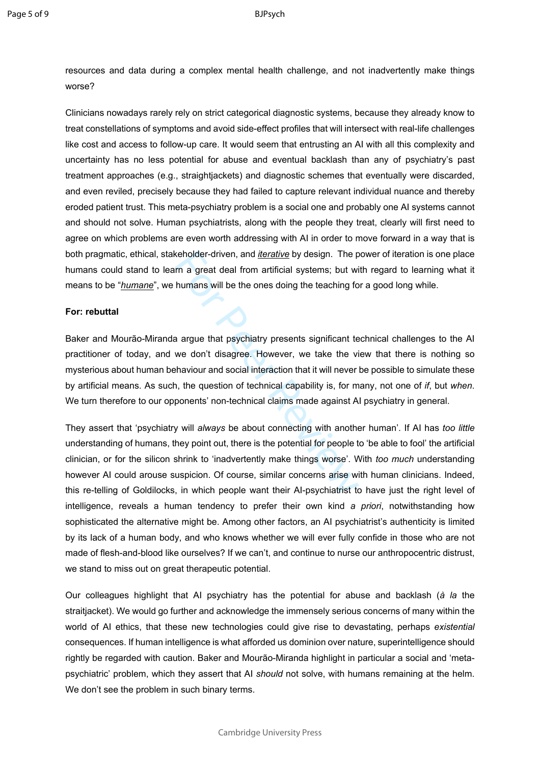#### BJPsych

resources and data during a complex mental health challenge, and not inadvertently make things worse?

Clinicians nowadays rarely rely on strict categorical diagnostic systems, because they already know to treat constellations of symptoms and avoid side-effect profiles that will intersect with real-life challenges like cost and access to follow-up care. It would seem that entrusting an AI with all this complexity and uncertainty has no less potential for abuse and eventual backlash than any of psychiatry's past treatment approaches (e.g., straightjackets) and diagnostic schemes that eventually were discarded, and even reviled, precisely because they had failed to capture relevant individual nuance and thereby eroded patient trust. This meta-psychiatry problem is a social one and probably one AI systems cannot and should not solve. Human psychiatrists, along with the people they treat, clearly will first need to agree on which problems are even worth addressing with AI in order to move forward in a way that is both pragmatic, ethical, stakeholder-driven, and *iterative* by design. The power of iteration is one place humans could stand to learn a great deal from artificial systems; but with regard to learning what it means to be "*humane*", we humans will be the ones doing the teaching for a good long while.

### **For: rebuttal**

Baker and Mourão-Miranda argue that psychiatry presents significant technical challenges to the AI practitioner of today, and we don't disagree. However, we take the view that there is nothing so mysterious about human behaviour and social interaction that it will never be possible to simulate these by artificial means. As such, the question of technical capability is, for many, not one of *if*, but *when*. We turn therefore to our opponents' non-technical claims made against AI psychiatry in general.

weholder-driven, and *iterative* by design. The p<br>rn a great deal from artificial systems; but wi<br>humans will be the ones doing the teaching fo<br>a argue that psychiatry presents significant te<br>we don't disagree. However, we They assert that 'psychiatry will *always* be about connecting with another human'. If AI has *too little* understanding of humans, they point out, there is the potential for people to 'be able to fool' the artificial clinician, or for the silicon shrink to 'inadvertently make things worse'. With *too much* understanding however AI could arouse suspicion. Of course, similar concerns arise with human clinicians. Indeed, this re-telling of Goldilocks, in which people want their AI-psychiatrist to have just the right level of intelligence, reveals a human tendency to prefer their own kind *a priori*, notwithstanding how sophisticated the alternative might be. Among other factors, an AI psychiatrist's authenticity is limited by its lack of a human body, and who knows whether we will ever fully confide in those who are not made of flesh-and-blood like ourselves? If we can't, and continue to nurse our anthropocentric distrust, we stand to miss out on great therapeutic potential.

Our colleagues highlight that AI psychiatry has the potential for abuse and backlash (*à la* the straitjacket). We would go further and acknowledge the immensely serious concerns of many within the world of AI ethics, that these new technologies could give rise to devastating, perhaps *existential* consequences. If human intelligence is what afforded us dominion over nature, superintelligence should rightly be regarded with caution. Baker and Mourão-Miranda highlight in particular a social and 'metapsychiatric' problem, which they assert that AI *should* not solve, with humans remaining at the helm. We don't see the problem in such binary terms.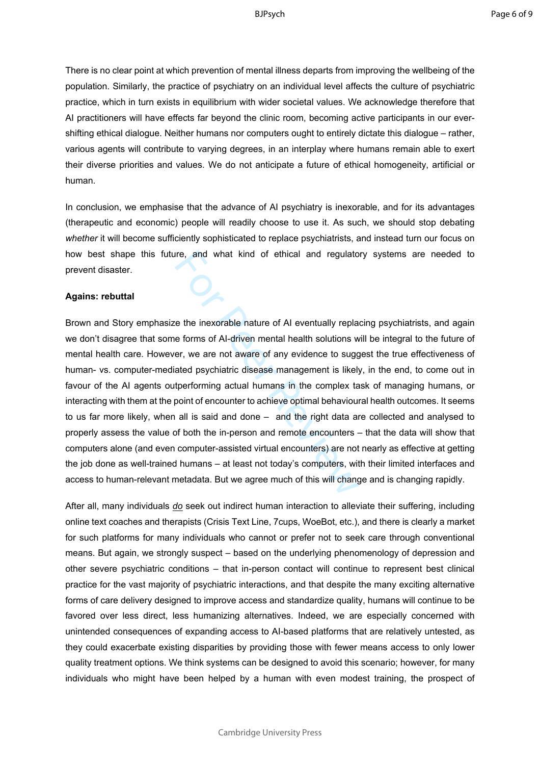There is no clear point at which prevention of mental illness departs from improving the wellbeing of the population. Similarly, the practice of psychiatry on an individual level affects the culture of psychiatric practice, which in turn exists in equilibrium with wider societal values. We acknowledge therefore that AI practitioners will have effects far beyond the clinic room, becoming active participants in our evershifting ethical dialogue. Neither humans nor computers ought to entirely dictate this dialogue – rather, various agents will contribute to varying degrees, in an interplay where humans remain able to exert their diverse priorities and values. We do not anticipate a future of ethical homogeneity, artificial or human.

In conclusion, we emphasise that the advance of AI psychiatry is inexorable, and for its advantages (therapeutic and economic) people will readily choose to use it. As such, we should stop debating *whether* it will become sufficiently sophisticated to replace psychiatrists, and instead turn our focus on how best shape this future, and what kind of ethical and regulatory systems are needed to prevent disaster.

#### **Agains: rebuttal**

ire, and what kind of ethical and regulato<br>
e the inexorable nature of AI eventually repla<br>
e forms of AI-driven mental health solutions w<br>
er, we are not aware of any evidence to sugg<br>
ated psychiatric disease management Brown and Story emphasize the inexorable nature of AI eventually replacing psychiatrists, and again we don't disagree that some forms of AI-driven mental health solutions will be integral to the future of mental health care. However, we are not aware of any evidence to suggest the true effectiveness of human- vs. computer-mediated psychiatric disease management is likely, in the end, to come out in favour of the AI agents outperforming actual humans in the complex task of managing humans, or interacting with them at the point of encounter to achieve optimal behavioural health outcomes. It seems to us far more likely, when all is said and done – and the right data are collected and analysed to properly assess the value of both the in-person and remote encounters – that the data will show that computers alone (and even computer-assisted virtual encounters) are not nearly as effective at getting the job done as well-trained humans – at least not today's computers, with their limited interfaces and access to human-relevant metadata. But we agree much of this will change and is changing rapidly.

After all, many individuals *do* seek out indirect human interaction to alleviate their suffering, including online text coaches and therapists (Crisis Text Line, 7cups, WoeBot, etc.), and there is clearly a market for such platforms for many individuals who cannot or prefer not to seek care through conventional means. But again, we strongly suspect – based on the underlying phenomenology of depression and other severe psychiatric conditions – that in-person contact will continue to represent best clinical practice for the vast majority of psychiatric interactions, and that despite the many exciting alternative forms of care delivery designed to improve access and standardize quality, humans will continue to be favored over less direct, less humanizing alternatives. Indeed, we are especially concerned with unintended consequences of expanding access to AI-based platforms that are relatively untested, as they could exacerbate existing disparities by providing those with fewer means access to only lower quality treatment options. We think systems can be designed to avoid this scenario; however, for many individuals who might have been helped by a human with even modest training, the prospect of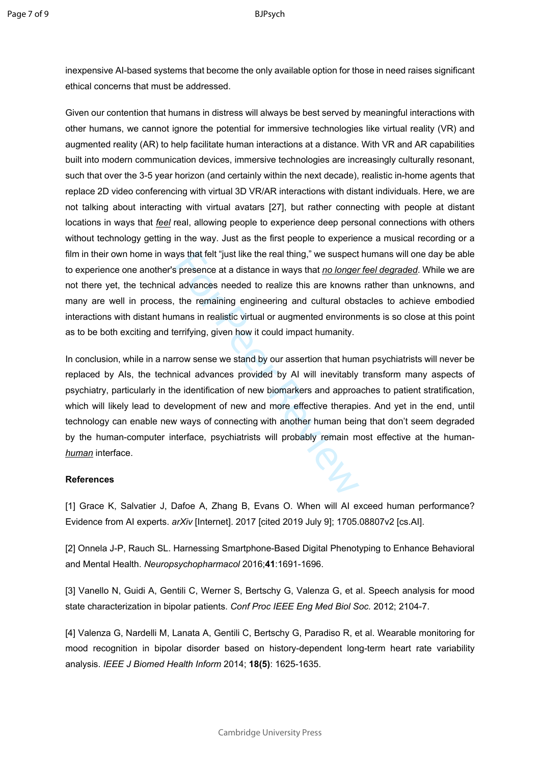inexpensive AI-based systems that become the only available option for those in need raises significant ethical concerns that must be addressed.

Given our contention that humans in distress will always be best served by meaningful interactions with other humans, we cannot ignore the potential for immersive technologies like virtual reality (VR) and augmented reality (AR) to help facilitate human interactions at a distance. With VR and AR capabilities built into modern communication devices, immersive technologies are increasingly culturally resonant, such that over the 3-5 year horizon (and certainly within the next decade), realistic in-home agents that replace 2D video conferencing with virtual 3D VR/AR interactions with distant individuals. Here, we are not talking about interacting with virtual avatars [27], but rather connecting with people at distant locations in ways that *feel* real, allowing people to experience deep personal connections with others without technology getting in the way. Just as the first people to experience a musical recording or a film in their own home in ways that felt "just like the real thing," we suspect humans will one day be able to experience one another's presence at a distance in ways that *no longer feel degraded*. While we are not there yet, the technical advances needed to realize this are knowns rather than unknowns, and many are well in process, the remaining engineering and cultural obstacles to achieve embodied interactions with distant humans in realistic virtual or augmented environments is so close at this point as to be both exciting and terrifying, given how it could impact humanity.

ys that felt "just like the real thing," we suspect<br>s presence at a distance in ways that <u>no longer</u><br>advances needed to realize this are knowns<br>the remaining engineering and cultural obs<br>mans in realistic virtual or augme In conclusion, while in a narrow sense we stand by our assertion that human psychiatrists will never be replaced by AIs, the technical advances provided by AI will inevitably transform many aspects of psychiatry, particularly in the identification of new biomarkers and approaches to patient stratification, which will likely lead to development of new and more effective therapies. And yet in the end, until technology can enable new ways of connecting with another human being that don't seem degraded by the human-computer interface, psychiatrists will probably remain most effective at the human*human* interface.

# **References**

[1] Grace K, Salvatier J, Dafoe A, Zhang B, Evans O. When will AI exceed human performance? Evidence from AI experts. *arXiv* [Internet]. 2017 [cited 2019 July 9]; 1705.08807v2 [cs.AI].

[2] Onnela J-P, Rauch SL. Harnessing Smartphone-Based Digital Phenotyping to Enhance Behavioral and Mental Health. *Neuropsychopharmacol* 2016;**41**:1691-1696.

[3] Vanello N, Guidi A, Gentili C, Werner S, Bertschy G, Valenza G, et al. Speech analysis for mood state characterization in bipolar patients. *Conf Proc IEEE Eng Med Biol Soc.* 2012; 2104-7.

[4] Valenza G, Nardelli M, Lanata A, Gentili C, Bertschy G, Paradiso R, et al. Wearable monitoring for mood recognition in bipolar disorder based on history-dependent long-term heart rate variability analysis. *IEEE J Biomed Health Inform* 2014; **18(5)**: 1625-1635.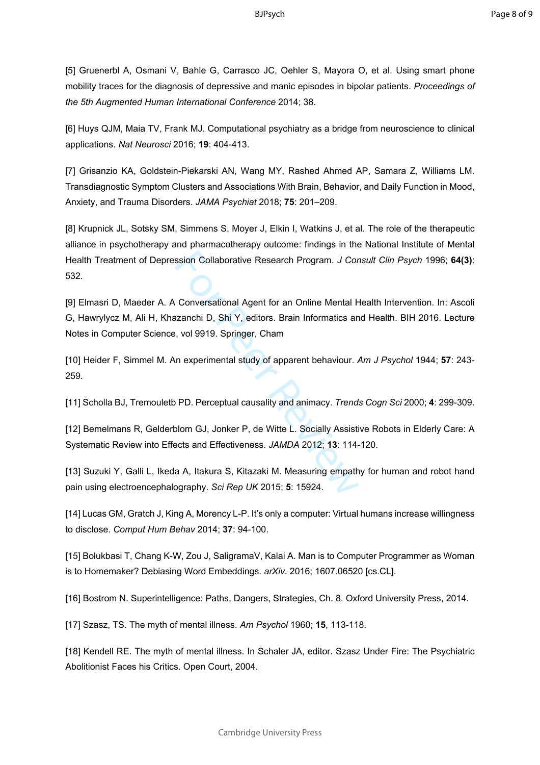[5] Gruenerbl A, Osmani V, Bahle G, Carrasco JC, Oehler S, Mayora O, et al. Using smart phone mobility traces for the diagnosis of depressive and manic episodes in bipolar patients. *Proceedings of the 5th Augmented Human International Conference* 2014; 38.

[6] Huys QJM, Maia TV, Frank MJ. Computational psychiatry as a bridge from neuroscience to clinical applications. *Nat Neurosci* 2016; **19**: 404-413.

[7] Grisanzio KA, Goldstein-Piekarski AN, Wang MY, Rashed Ahmed AP, Samara Z, Williams LM. Transdiagnostic Symptom Clusters and Associations With Brain, Behavior, and Daily Function in Mood, Anxiety, and Trauma Disorders. *JAMA Psychiat* 2018; **75**: 201–209.

[8] Krupnick JL, Sotsky SM, Simmens S, Moyer J, Elkin I, Watkins J, et al. The role of the therapeutic alliance in psychotherapy and pharmacotherapy outcome: findings in the National Institute of Mental Health Treatment of Depression Collaborative Research Program. *J Consult Clin Psych* 1996; **64(3)**: 532.

ssion Collaborative Research Program. J Cor<br>
Conversational Agent for an Online Mental H<br>
Exanchi D, Shi Y, editors. Brain Informatics an<br>
, vol 9919. Springer, Cham<br>
In experimental study of apparent behaviour. A<br>
PD. Per [9] Elmasri D, Maeder A. A Conversational Agent for an Online Mental Health Intervention. In: Ascoli G, Hawrylycz M, Ali H, Khazanchi D, Shi Y, editors. Brain Informatics and Health. BIH 2016. Lecture Notes in Computer Science, vol 9919. Springer, Cham

[10] Heider F, Simmel M. An experimental study of apparent behaviour. *Am J Psychol* 1944; **57**: 243- 259.

[11] Scholla BJ, Tremouletb PD. Perceptual causality and animacy. *Trends Cogn Sci* 2000; **4**: 299-309.

[12] Bemelmans R, Gelderblom GJ, Jonker P, de Witte L. Socially Assistive Robots in Elderly Care: A Systematic Review into Effects and Effectiveness. *JAMDA* 2012; **13**: 114-120.

[13] Suzuki Y, Galli L, Ikeda A, Itakura S, Kitazaki M. Measuring empathy for human and robot hand pain using electroencephalography. *Sci Rep UK* 2015; **5**: 15924.

[14] Lucas GM, Gratch J, King A, Morency L-P. It's only a computer: Virtual humans increase willingness to disclose. *Comput Hum Behav* 2014; **37**: 94-100.

[15] Bolukbasi T, Chang K-W, Zou J, SaligramaV, Kalai A. Man is to Computer Programmer as Woman is to Homemaker? Debiasing Word Embeddings. *arXiv*. 2016; 1607.06520 [cs.CL].

[16] Bostrom N. Superintelligence: Paths, Dangers, Strategies, Ch. 8. Oxford University Press, 2014.

[17] Szasz, TS. The myth of mental illness. *Am Psychol* 1960; **15**, 113-118.

[18] Kendell RE. The myth of mental illness. In Schaler JA, editor. Szasz Under Fire: The Psychiatric Abolitionist Faces his Critics. Open Court, 2004.